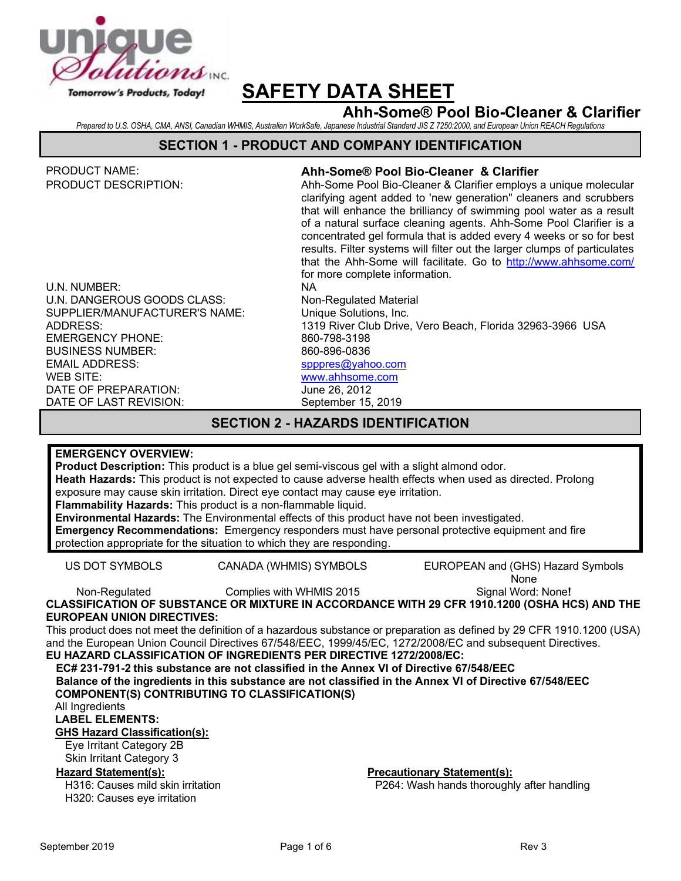

# **Ahh-Some® Pool Bio-Cleaner & Clarifier**

*Prepared to U.S. OSHA, CMA, ANSI, Canadian WHMIS, Australian WorkSafe, Japanese Industrial Standard JIS Z 7250:2000, and European Union REACH Regulations*

#### **SECTION 1 - PRODUCT AND COMPANY IDENTIFICATION**

| <b>PRODUCT NAME:</b>                      | Ahh-Some® Pool Bio-Cleaner & Clarifier                                                                                                                                                                                                                                                                                                                                                                                                                                                                                                       |  |  |  |
|-------------------------------------------|----------------------------------------------------------------------------------------------------------------------------------------------------------------------------------------------------------------------------------------------------------------------------------------------------------------------------------------------------------------------------------------------------------------------------------------------------------------------------------------------------------------------------------------------|--|--|--|
| <b>PRODUCT DESCRIPTION:</b>               | Ahh-Some Pool Bio-Cleaner & Clarifier employs a unique molecular<br>clarifying agent added to 'new generation" cleaners and scrubbers<br>that will enhance the brilliancy of swimming pool water as a result<br>of a natural surface cleaning agents. Ahh-Some Pool Clarifier is a<br>concentrated gel formula that is added every 4 weeks or so for best<br>results. Filter systems will filter out the larger clumps of particulates<br>that the Ahh-Some will facilitate. Go to http://www.ahhsome.com/<br>for more complete information. |  |  |  |
| U.N. NUMBER:                              | NA.                                                                                                                                                                                                                                                                                                                                                                                                                                                                                                                                          |  |  |  |
| U.N. DANGEROUS GOODS CLASS:               | Non-Regulated Material                                                                                                                                                                                                                                                                                                                                                                                                                                                                                                                       |  |  |  |
| SUPPLIER/MANUFACTURER'S NAME:             | Unique Solutions, Inc.                                                                                                                                                                                                                                                                                                                                                                                                                                                                                                                       |  |  |  |
| ADDRESS:                                  | 1319 River Club Drive, Vero Beach, Florida 32963-3966 USA                                                                                                                                                                                                                                                                                                                                                                                                                                                                                    |  |  |  |
| <b>EMERGENCY PHONE:</b>                   | 860-798-3198                                                                                                                                                                                                                                                                                                                                                                                                                                                                                                                                 |  |  |  |
| <b>BUSINESS NUMBER:</b>                   | 860-896-0836                                                                                                                                                                                                                                                                                                                                                                                                                                                                                                                                 |  |  |  |
| <b>EMAIL ADDRESS:</b>                     | spppres@yahoo.com                                                                                                                                                                                                                                                                                                                                                                                                                                                                                                                            |  |  |  |
| WEB SITE:                                 | www.ahhsome.com                                                                                                                                                                                                                                                                                                                                                                                                                                                                                                                              |  |  |  |
| DATE OF PREPARATION:                      | June 26, 2012                                                                                                                                                                                                                                                                                                                                                                                                                                                                                                                                |  |  |  |
| DATE OF LAST REVISION:                    | September 15, 2019                                                                                                                                                                                                                                                                                                                                                                                                                                                                                                                           |  |  |  |
| <b>SECTION 2 - HAZARDS IDENTIFICATION</b> |                                                                                                                                                                                                                                                                                                                                                                                                                                                                                                                                              |  |  |  |
|                                           |                                                                                                                                                                                                                                                                                                                                                                                                                                                                                                                                              |  |  |  |

#### **EMERGENCY OVERVIEW:**

**Product Description:** This product is a blue gel semi-viscous gel with a slight almond odor. **Heath Hazards:** This product is not expected to cause adverse health effects when used as directed. Prolong exposure may cause skin irritation. Direct eye contact may cause eye irritation.

**Flammability Hazards:** This product is a non-flammable liquid.

**Environmental Hazards:** The Environmental effects of this product have not been investigated. **Emergency Recommendations:** Emergency responders must have personal protective equipment and fire

protection appropriate for the situation to which they are responding.

US DOT SYMBOLS CANADA (WHMIS) SYMBOLS EUROPEAN and (GHS) Hazard Symbols

None

Signal Word: None**!**

Non-Regulated Complies with WHMIS 2015 **CLASSIFICATION OF SUBSTANCE OR MIXTURE IN ACCORDANCE WITH 29 CFR 1910.1200 (OSHA HCS) AND THE EUROPEAN UNION DIRECTIVES:**

This product does not meet the definition of a hazardous substance or preparation as defined by 29 CFR 1910.1200 (USA) and the European Union Council Directives 67/548/EEC, 1999/45/EC, 1272/2008/EC and subsequent Directives.

# **EU HAZARD CLASSIFICATION OF INGREDIENTS PER DIRECTIVE 1272/2008/EC:**

**EC# 231-791-2 this substance are not classified in the Annex VI of Directive 67/548/EEC Balance of the ingredients in this substance are not classified in the Annex VI of Directive 67/548/EEC COMPONENT(S) CONTRIBUTING TO CLASSIFICATION(S)**

All Ingredients

**LABEL ELEMENTS:**

**GHS Hazard Classification(s):**

Eye Irritant Category 2B

Skin Irritant Category 3

H316: Causes mild skin irritation H320: Causes eye irritation

**Hazard Statement(s): Precautionary Statement(s):**

P264: Wash hands thoroughly after handling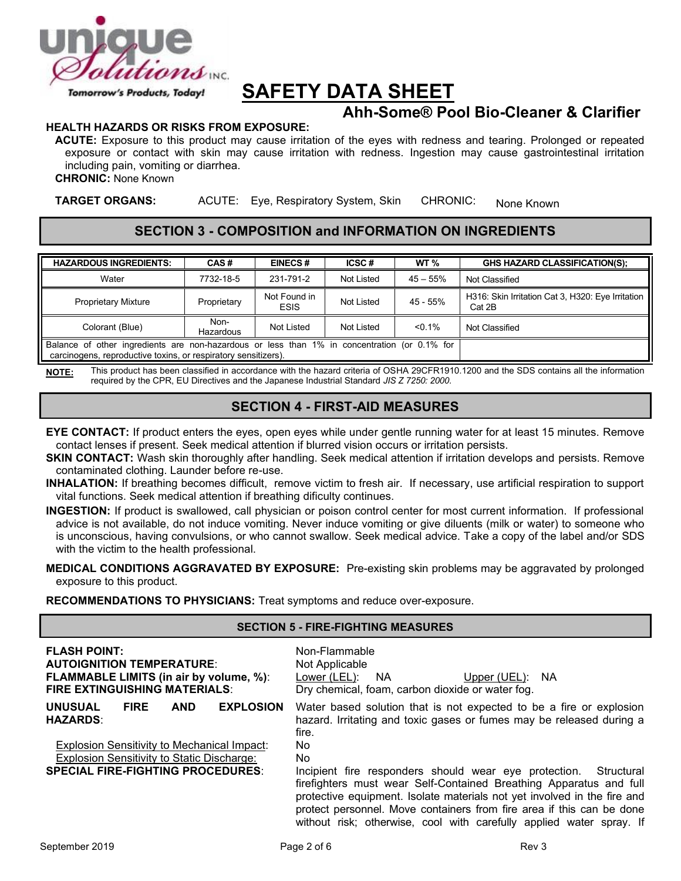

# **Ahh-Some® Pool Bio-Cleaner & Clarifier**

#### **HEALTH HAZARDS OR RISKS FROM EXPOSURE:**

**ACUTE:** Exposure to this product may cause irritation of the eyes with redness and tearing. Prolonged or repeated exposure or contact with skin may cause irritation with redness. Ingestion may cause gastrointestinal irritation including pain, vomiting or diarrhea.

**CHRONIC:** None Known

**TARGET ORGANS:** ACUTE: Eye, Respiratory System, Skin CHRONIC: None Known

### **SECTION 3 - COMPOSITION and INFORMATION ON INGREDIENTS**

| <b>HAZARDOUS INGREDIENTS:</b>                                                                                                                                  | CAS#              | <b>EINECS#</b>              | ICSC#      | WT <sub>%</sub> | <b>GHS HAZARD CLASSIFICATION(S):</b>                        |
|----------------------------------------------------------------------------------------------------------------------------------------------------------------|-------------------|-----------------------------|------------|-----------------|-------------------------------------------------------------|
| Water                                                                                                                                                          | 7732-18-5         | 231-791-2                   | Not Listed | $45 - 55%$      | Not Classified                                              |
| <b>Proprietary Mixture</b>                                                                                                                                     | Proprietary       | Not Found in<br><b>ESIS</b> | Not Listed | 45 - 55%        | H316: Skin Irritation Cat 3, H320: Eye Irritation<br>Cat 2B |
| Colorant (Blue)                                                                                                                                                | Non-<br>Hazardous | Not Listed                  | Not Listed | $< 0.1\%$       | Not Classified                                              |
| Balance of other ingredients are non-hazardous or less than 1% in concentration (or 0.1% for<br>carcinogens, reproductive toxins, or respiratory sensitizers). |                   |                             |            |                 |                                                             |

**NOTE:** This product has been classified in accordance with the hazard criteria of OSHA 29CFR1910.1200 and the SDS contains all the information required by the CPR, EU Directives and the Japanese Industrial Standard *JIS Z 7250: 2000*.

# **SECTION 4 - FIRST-AID MEASURES**

- **EYE CONTACT:** If product enters the eyes, open eyes while under gentle running water for at least 15 minutes. Remove contact lenses if present. Seek medical attention if blurred vision occurs or irritation persists.
- **SKIN CONTACT:** Wash skin thoroughly after handling. Seek medical attention if irritation develops and persists. Remove contaminated clothing. Launder before re-use.
- **INHALATION:** If breathing becomes difficult, remove victim to fresh air. If necessary, use artificial respiration to support vital functions. Seek medical attention if breathing dificulty continues.
- **INGESTION:** If product is swallowed, call physician or poison control center for most current information. If professional advice is not available, do not induce vomiting. Never induce vomiting or give diluents (milk or water) to someone who is unconscious, having convulsions, or who cannot swallow. Seek medical advice. Take a copy of the label and/or SDS with the victim to the health professional.

#### **MEDICAL CONDITIONS AGGRAVATED BY EXPOSURE:** Pre-existing skin problems may be aggravated by prolonged exposure to this product.

**RECOMMENDATIONS TO PHYSICIANS:** Treat symptoms and reduce over-exposure.

#### **SECTION 5 - FIRE-FIGHTING MEASURES**

| <b>FLASH POINT:</b><br><b>AUTOIGNITION TEMPERATURE:</b><br><b>FLAMMABLE LIMITS (in air by volume, %):</b><br><b>FIRE EXTINGUISHING MATERIALS:</b> | Non-Flammable<br>Not Applicable<br>Lower (LEL):<br><b>NA</b><br>Upper (UEL):<br><b>NA</b><br>Dry chemical, foam, carbon dioxide or water fog.                                                                                                                                                   |
|---------------------------------------------------------------------------------------------------------------------------------------------------|-------------------------------------------------------------------------------------------------------------------------------------------------------------------------------------------------------------------------------------------------------------------------------------------------|
| <b>EXPLOSION</b><br><b>UNUSUAL</b><br><b>FIRE</b><br><b>AND</b><br><b>HAZARDS:</b><br><b>Explosion Sensitivity to Mechanical Impact:</b>          | Water based solution that is not expected to be a fire or explosion<br>hazard. Irritating and toxic gases or fumes may be released during a<br>fire.<br>No.                                                                                                                                     |
| <b>Explosion Sensitivity to Static Discharge:</b><br><b>SPECIAL FIRE-FIGHTING PROCEDURES:</b>                                                     | No.<br>Incipient fire responders should wear eye protection.<br>Structural                                                                                                                                                                                                                      |
|                                                                                                                                                   | firefighters must wear Self-Contained Breathing Apparatus and full<br>protective equipment. Isolate materials not yet involved in the fire and<br>protect personnel. Move containers from fire area if this can be done<br>without risk; otherwise, cool with carefully applied water spray. If |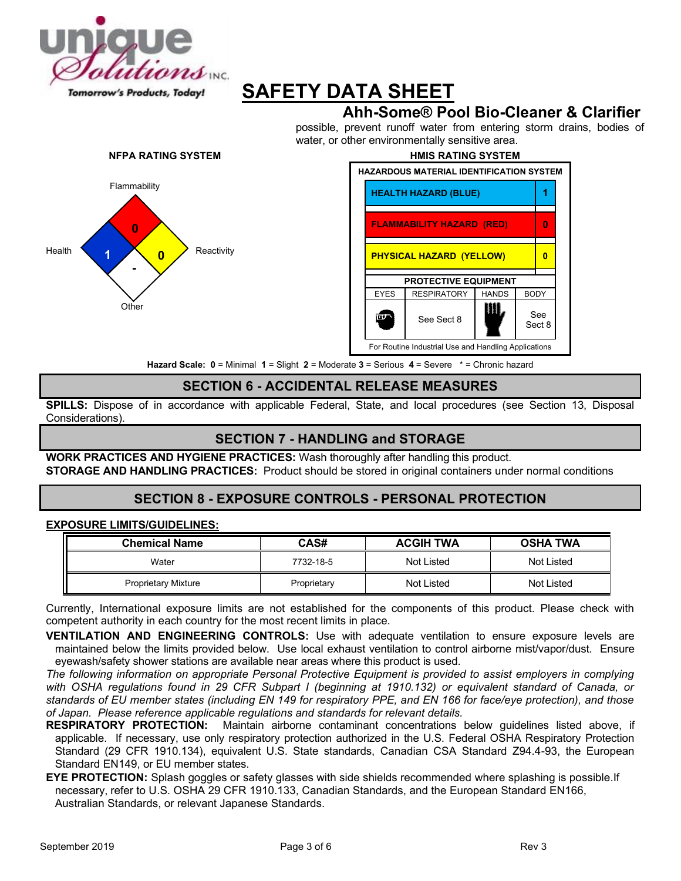

# **Ahh-Some® Pool Bio-Cleaner & Clarifier**

possible, prevent runoff water from entering storm drains, bodies of water, or other environmentally sensitive area.





**Hazard Scale: 0** = Minimal **1** = Slight **2** = Moderate **3** = Serious **4** = Severe \* = Chronic hazard

# **SECTION 6 - ACCIDENTAL RELEASE MEASURES**

**SPILLS:** Dispose of in accordance with applicable Federal, State, and local procedures (see Section 13, Disposal Considerations).

# **SECTION 7 - HANDLING and STORAGE**

**WORK PRACTICES AND HYGIENE PRACTICES:** Wash thoroughly after handling this product. **STORAGE AND HANDLING PRACTICES:** Product should be stored in original containers under normal conditions

## **SECTION 8 - EXPOSURE CONTROLS - PERSONAL PROTECTION**

#### **EXPOSURE LIMITS/GUIDELINES:**

| <b>Chemical Name</b>       | CAS#        | <b>ACGIH TWA</b> | <b>OSHA TWA</b> |
|----------------------------|-------------|------------------|-----------------|
| Water                      | 7732-18-5   | Not Listed       | Not Listed      |
| <b>Proprietary Mixture</b> | Proprietary | Not Listed       | Not Listed      |

Currently, International exposure limits are not established for the components of this product. Please check with competent authority in each country for the most recent limits in place.

**VENTILATION AND ENGINEERING CONTROLS:** Use with adequate ventilation to ensure exposure levels are maintained below the limits provided below. Use local exhaust ventilation to control airborne mist/vapor/dust. Ensure eyewash/safety shower stations are available near areas where this product is used.

*The following information on appropriate Personal Protective Equipment is provided to assist employers in complying*  with OSHA regulations found in 29 CFR Subpart I (beginning at 1910.132) or equivalent standard of Canada, or *standards of EU member states (including EN 149 for respiratory PPE, and EN 166 for face/eye protection), and those of Japan. Please reference applicable regulations and standards for relevant details.*

**RESPIRATORY PROTECTION:** Maintain airborne contaminant concentrations below guidelines listed above, if applicable. If necessary, use only respiratory protection authorized in the U.S. Federal OSHA Respiratory Protection Standard (29 CFR 1910.134), equivalent U.S. State standards, Canadian CSA Standard Z94.4-93, the European Standard EN149, or EU member states.

**EYE PROTECTION:** Splash goggles or safety glasses with side shields recommended where splashing is possible.If necessary, refer to U.S. OSHA 29 CFR 1910.133, Canadian Standards, and the European Standard EN166, Australian Standards, or relevant Japanese Standards.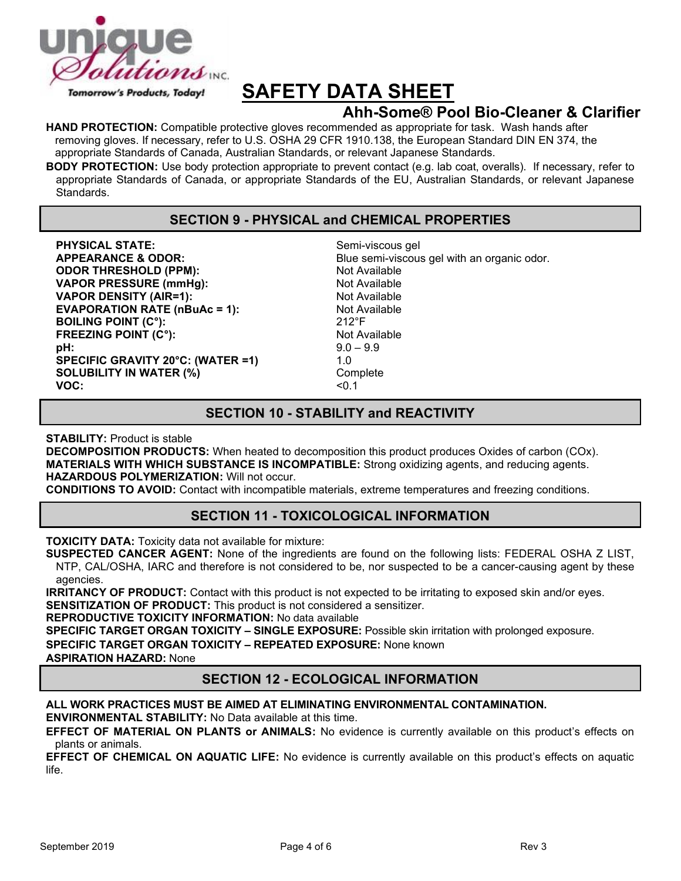

# **Ahh-Some® Pool Bio-Cleaner & Clarifier**

**HAND PROTECTION:** Compatible protective gloves recommended as appropriate for task. Wash hands after removing gloves. If necessary, refer to U.S. OSHA 29 CFR 1910.138, the European Standard DIN EN 374, the appropriate Standards of Canada, Australian Standards, or relevant Japanese Standards.

**BODY PROTECTION:** Use body protection appropriate to prevent contact (e.g. lab coat, overalls). If necessary, refer to appropriate Standards of Canada, or appropriate Standards of the EU, Australian Standards, or relevant Japanese Standards.

## **SECTION 9 - PHYSICAL and CHEMICAL PROPERTIES**

**PHYSICAL STATE:** Semi-viscous gel **ODOR THRESHOLD (PPM):** Not Available **VAPOR PRESSURE (mmHg):** Not Available **VAPOR DENSITY (AIR=1):** Not Available **EVAPORATION RATE (nBuAc = 1):** Not Available **BOILING POINT (C°): BOILING POINT (C°) BOILING POINT (C°): FREEZING POINT (C°):** Not Available **pH:** 9.0 – 9.9 **SPECIFIC GRAVITY 20°C: (WATER =1)** 1.0 **SOLUBILITY IN WATER (%)** Complete<br>VOC: <0 1 **VOC:** <0.1

**APPEARANCE & ODOR:** Blue semi-viscous gel with an organic odor.

### **SECTION 10 - STABILITY and REACTIVITY**

**STABILITY:** Product is stable

**DECOMPOSITION PRODUCTS:** When heated to decomposition this product produces Oxides of carbon (COx). **MATERIALS WITH WHICH SUBSTANCE IS INCOMPATIBLE:** Strong oxidizing agents, and reducing agents. **HAZARDOUS POLYMERIZATION:** Will not occur.

**CONDITIONS TO AVOID:** Contact with incompatible materials, extreme temperatures and freezing conditions.

## **SECTION 11 - TOXICOLOGICAL INFORMATION**

**TOXICITY DATA:** Toxicity data not available for mixture:

**SUSPECTED CANCER AGENT:** None of the ingredients are found on the following lists: FEDERAL OSHA Z LIST, NTP, CAL/OSHA, IARC and therefore is not considered to be, nor suspected to be a cancer-causing agent by these agencies.

**IRRITANCY OF PRODUCT:** Contact with this product is not expected to be irritating to exposed skin and/or eyes. **SENSITIZATION OF PRODUCT:** This product is not considered a sensitizer.

**REPRODUCTIVE TOXICITY INFORMATION:** No data available

**SPECIFIC TARGET ORGAN TOXICITY – SINGLE EXPOSURE:** Possible skin irritation with prolonged exposure.

**SPECIFIC TARGET ORGAN TOXICITY – REPEATED EXPOSURE:** None known

**ASPIRATION HAZARD:** None

## **SECTION 12 - ECOLOGICAL INFORMATION**

#### **ALL WORK PRACTICES MUST BE AIMED AT ELIMINATING ENVIRONMENTAL CONTAMINATION. ENVIRONMENTAL STABILITY:** No Data available at this time.

**EFFECT OF MATERIAL ON PLANTS or ANIMALS:** No evidence is currently available on this product's effects on plants or animals.

**EFFECT OF CHEMICAL ON AQUATIC LIFE:** No evidence is currently available on this product's effects on aquatic life.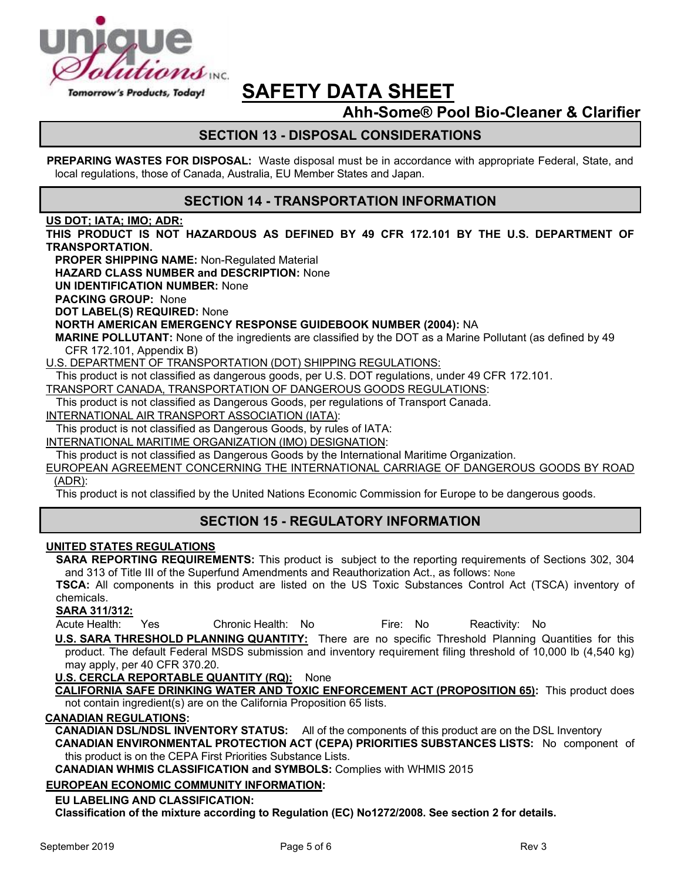

# **Ahh-Some® Pool Bio-Cleaner & Clarifier**

# **SECTION 13 - DISPOSAL CONSIDERATIONS**

**PREPARING WASTES FOR DISPOSAL:** Waste disposal must be in accordance with appropriate Federal, State, and local regulations, those of Canada, Australia, EU Member States and Japan.

#### **SECTION 14 - TRANSPORTATION INFORMATION**

#### **US DOT; IATA; IMO; ADR:**

**THIS PRODUCT IS NOT HAZARDOUS AS DEFINED BY 49 CFR 172.101 BY THE U.S. DEPARTMENT OF TRANSPORTATION.**

**PROPER SHIPPING NAME:** Non-Regulated Material

**HAZARD CLASS NUMBER and DESCRIPTION:** None

**UN IDENTIFICATION NUMBER:** None

**PACKING GROUP:** None

**DOT LABEL(S) REQUIRED:** None

**NORTH AMERICAN EMERGENCY RESPONSE GUIDEBOOK NUMBER (2004):** NA

**MARINE POLLUTANT:** None of the ingredients are classified by the DOT as a Marine Pollutant (as defined by 49 CFR 172.101, Appendix B)

U.S. DEPARTMENT OF TRANSPORTATION (DOT) SHIPPING REGULATIONS:

This product is not classified as dangerous goods, per U.S. DOT regulations, under 49 CFR 172.101.

TRANSPORT CANADA, TRANSPORTATION OF DANGEROUS GOODS REGULATIONS:

This product is not classified as Dangerous Goods, per regulations of Transport Canada.

INTERNATIONAL AIR TRANSPORT ASSOCIATION (IATA):

This product is not classified as Dangerous Goods, by rules of IATA:

INTERNATIONAL MARITIME ORGANIZATION (IMO) DESIGNATION:

This product is not classified as Dangerous Goods by the International Maritime Organization.

EUROPEAN AGREEMENT CONCERNING THE INTERNATIONAL CARRIAGE OF DANGEROUS GOODS BY ROAD (ADR):

This product is not classified by the United Nations Economic Commission for Europe to be dangerous goods.

## **SECTION 15 - REGULATORY INFORMATION**

#### **UNITED STATES REGULATIONS**

**SARA REPORTING REQUIREMENTS:** This product is subject to the reporting requirements of Sections 302, 304 and 313 of Title III of the Superfund Amendments and Reauthorization Act., as follows: None

**TSCA:** All components in this product are listed on the US Toxic Substances Control Act (TSCA) inventory of chemicals.

#### **SARA 311/312:**

Acute Health: Yes Chronic Health: No Fire: No Reactivity: No

**U.S. SARA THRESHOLD PLANNING QUANTITY:** There are no specific Threshold Planning Quantities for this product. The default Federal MSDS submission and inventory requirement filing threshold of 10,000 lb (4,540 kg) may apply, per 40 CFR 370.20.

**U.S. CERCLA REPORTABLE QUANTITY (RQ):** None

**CALIFORNIA SAFE DRINKING WATER AND TOXIC ENFORCEMENT ACT (PROPOSITION 65):** This product does not contain ingredient(s) are on the California Proposition 65 lists.

#### **CANADIAN REGULATIONS:**

**CANADIAN DSL/NDSL INVENTORY STATUS:** All of the components of this product are on the DSL Inventory

**CANADIAN ENVIRONMENTAL PROTECTION ACT (CEPA) PRIORITIES SUBSTANCES LISTS:** No component of this product is on the CEPA First Priorities Substance Lists.

**CANADIAN WHMIS CLASSIFICATION and SYMBOLS:** Complies with WHMIS 2015

#### **EUROPEAN ECONOMIC COMMUNITY INFORMATION:**

#### **EU LABELING AND CLASSIFICATION:**

**Classification of the mixture according to Regulation (EC) No1272/2008. See section 2 for details.**